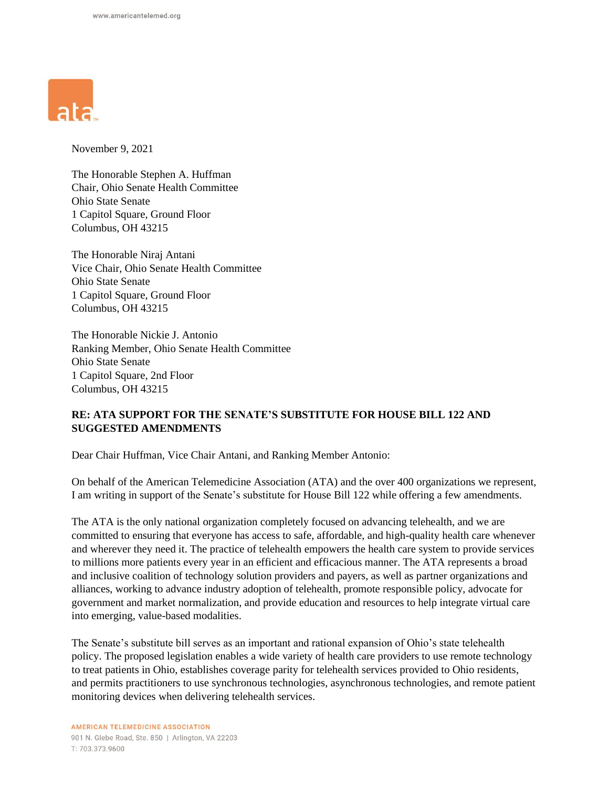

November 9, 2021

The Honorable Stephen A. Huffman Chair, Ohio Senate Health Committee Ohio State Senate 1 Capitol Square, Ground Floor Columbus, OH 43215

The Honorable Niraj Antani Vice Chair, Ohio Senate Health Committee Ohio State Senate 1 Capitol Square, Ground Floor Columbus, OH 43215

The Honorable Nickie J. Antonio Ranking Member, Ohio Senate Health Committee Ohio State Senate 1 Capitol Square, 2nd Floor Columbus, OH 43215

## **RE: ATA SUPPORT FOR THE SENATE'S SUBSTITUTE FOR HOUSE BILL 122 AND SUGGESTED AMENDMENTS**

Dear Chair Huffman, Vice Chair Antani, and Ranking Member Antonio:

On behalf of the American Telemedicine Association (ATA) and the over 400 organizations we represent, I am writing in support of the Senate's substitute for House Bill 122 while offering a few amendments.

The ATA is the only national organization completely focused on advancing telehealth, and we are committed to ensuring that everyone has access to safe, affordable, and high-quality health care whenever and wherever they need it. The practice of telehealth empowers the health care system to provide services to millions more patients every year in an efficient and efficacious manner. The ATA represents a broad and inclusive coalition of technology solution providers and payers, as well as partner organizations and alliances, working to advance industry adoption of telehealth, promote responsible policy, advocate for government and market normalization, and provide education and resources to help integrate virtual care into emerging, value-based modalities.

The Senate's substitute bill serves as an important and rational expansion of Ohio's state telehealth policy. The proposed legislation enables a wide variety of health care providers to use remote technology to treat patients in Ohio, establishes coverage parity for telehealth services provided to Ohio residents, and permits practitioners to use synchronous technologies, asynchronous technologies, and remote patient monitoring devices when delivering telehealth services.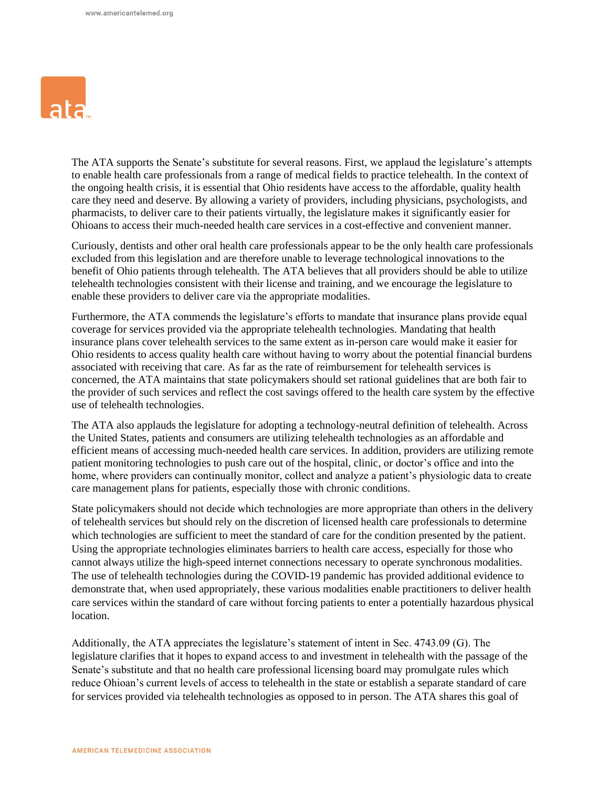

The ATA supports the Senate's substitute for several reasons. First, we applaud the legislature's attempts to enable health care professionals from a range of medical fields to practice telehealth. In the context of the ongoing health crisis, it is essential that Ohio residents have access to the affordable, quality health care they need and deserve. By allowing a variety of providers, including physicians, psychologists, and pharmacists, to deliver care to their patients virtually, the legislature makes it significantly easier for Ohioans to access their much-needed health care services in a cost-effective and convenient manner.

Curiously, dentists and other oral health care professionals appear to be the only health care professionals excluded from this legislation and are therefore unable to leverage technological innovations to the benefit of Ohio patients through telehealth. The ATA believes that all providers should be able to utilize telehealth technologies consistent with their license and training, and we encourage the legislature to enable these providers to deliver care via the appropriate modalities.

Furthermore, the ATA commends the legislature's efforts to mandate that insurance plans provide equal coverage for services provided via the appropriate telehealth technologies. Mandating that health insurance plans cover telehealth services to the same extent as in-person care would make it easier for Ohio residents to access quality health care without having to worry about the potential financial burdens associated with receiving that care. As far as the rate of reimbursement for telehealth services is concerned, the ATA maintains that state policymakers should set rational guidelines that are both fair to the provider of such services and reflect the cost savings offered to the health care system by the effective use of telehealth technologies.

The ATA also applauds the legislature for adopting a technology-neutral definition of telehealth. Across the United States, patients and consumers are utilizing telehealth technologies as an affordable and efficient means of accessing much-needed health care services. In addition, providers are utilizing remote patient monitoring technologies to push care out of the hospital, clinic, or doctor's office and into the home, where providers can continually monitor, collect and analyze a patient's physiologic data to create care management plans for patients, especially those with chronic conditions.

State policymakers should not decide which technologies are more appropriate than others in the delivery of telehealth services but should rely on the discretion of licensed health care professionals to determine which technologies are sufficient to meet the standard of care for the condition presented by the patient. Using the appropriate technologies eliminates barriers to health care access, especially for those who cannot always utilize the high-speed internet connections necessary to operate synchronous modalities. The use of telehealth technologies during the COVID-19 pandemic has provided additional evidence to demonstrate that, when used appropriately, these various modalities enable practitioners to deliver health care services within the standard of care without forcing patients to enter a potentially hazardous physical location.

Additionally, the ATA appreciates the legislature's statement of intent in Sec. 4743.09 (G). The legislature clarifies that it hopes to expand access to and investment in telehealth with the passage of the Senate's substitute and that no health care professional licensing board may promulgate rules which reduce Ohioan's current levels of access to telehealth in the state or establish a separate standard of care for services provided via telehealth technologies as opposed to in person. The ATA shares this goal of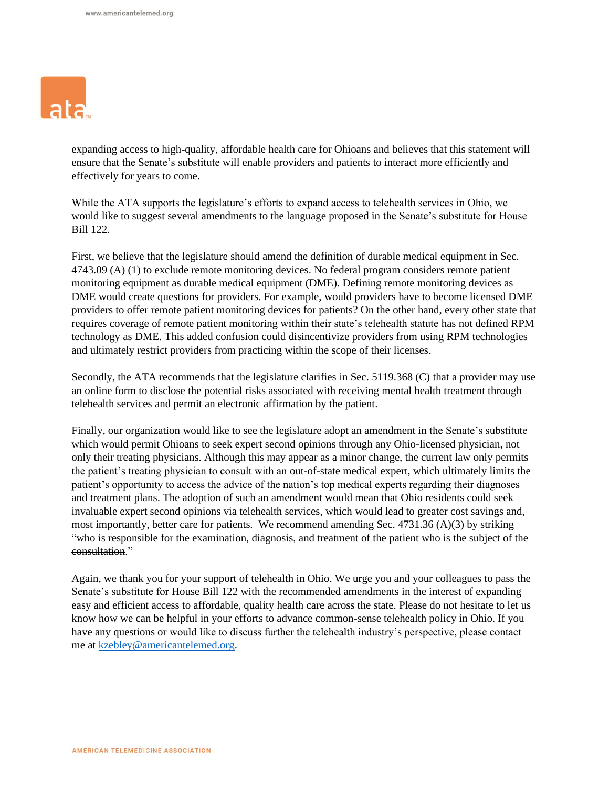

expanding access to high-quality, affordable health care for Ohioans and believes that this statement will ensure that the Senate's substitute will enable providers and patients to interact more efficiently and effectively for years to come.

While the ATA supports the legislature's efforts to expand access to telehealth services in Ohio, we would like to suggest several amendments to the language proposed in the Senate's substitute for House Bill 122.

First, we believe that the legislature should amend the definition of durable medical equipment in Sec. 4743.09 (A) (1) to exclude remote monitoring devices. No federal program considers remote patient monitoring equipment as durable medical equipment (DME). Defining remote monitoring devices as DME would create questions for providers. For example, would providers have to become licensed DME providers to offer remote patient monitoring devices for patients? On the other hand, every other state that requires coverage of remote patient monitoring within their state's telehealth statute has not defined RPM technology as DME. This added confusion could disincentivize providers from using RPM technologies and ultimately restrict providers from practicing within the scope of their licenses.

Secondly, the ATA recommends that the legislature clarifies in Sec. 5119.368 (C) that a provider may use an online form to disclose the potential risks associated with receiving mental health treatment through telehealth services and permit an electronic affirmation by the patient.

Finally, our organization would like to see the legislature adopt an amendment in the Senate's substitute which would permit Ohioans to seek expert second opinions through any Ohio-licensed physician, not only their treating physicians. Although this may appear as a minor change, the current law only permits the patient's treating physician to consult with an out-of-state medical expert, which ultimately limits the patient's opportunity to access the advice of the nation's top medical experts regarding their diagnoses and treatment plans. The adoption of such an amendment would mean that Ohio residents could seek invaluable expert second opinions via telehealth services, which would lead to greater cost savings and, most importantly, better care for patients. We recommend amending Sec. 4731.36 (A)(3) by striking "who is responsible for the examination, diagnosis, and treatment of the patient who is the subject of the consultation."

Again, we thank you for your support of telehealth in Ohio. We urge you and your colleagues to pass the Senate's substitute for House Bill 122 with the recommended amendments in the interest of expanding easy and efficient access to affordable, quality health care across the state. Please do not hesitate to let us know how we can be helpful in your efforts to advance common-sense telehealth policy in Ohio. If you have any questions or would like to discuss further the telehealth industry's perspective, please contact me at [kzebley@americantelemed.org.](mailto:kzebley@americantelemed.org)